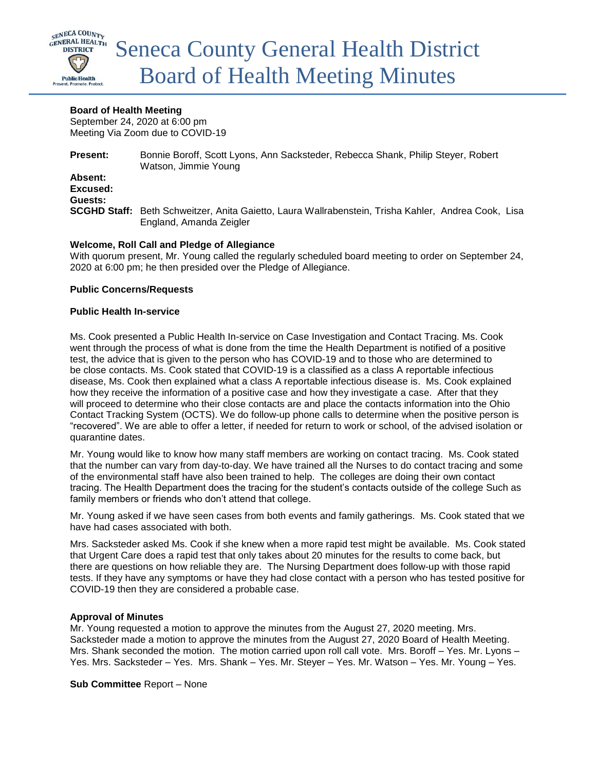

### **Board of Health Meeting**

September 24, 2020 at 6:00 pm Meeting Via Zoom due to COVID-19

**Present:** Bonnie Boroff, Scott Lyons, Ann Sacksteder, Rebecca Shank, Philip Steyer, Robert Watson, Jimmie Young **Absent: Excused: Guests: SCGHD Staff:** Beth Schweitzer, Anita Gaietto, Laura Wallrabenstein, Trisha Kahler, Andrea Cook, Lisa England, Amanda Zeigler

# **Welcome, Roll Call and Pledge of Allegiance**

With quorum present, Mr. Young called the regularly scheduled board meeting to order on September 24, 2020 at 6:00 pm; he then presided over the Pledge of Allegiance.

### **Public Concerns/Requests**

### **Public Health In-service**

Ms. Cook presented a Public Health In-service on Case Investigation and Contact Tracing. Ms. Cook went through the process of what is done from the time the Health Department is notified of a positive test, the advice that is given to the person who has COVID-19 and to those who are determined to be close contacts. Ms. Cook stated that COVID-19 is a classified as a class A reportable infectious disease, Ms. Cook then explained what a class A reportable infectious disease is. Ms. Cook explained how they receive the information of a positive case and how they investigate a case. After that they will proceed to determine who their close contacts are and place the contacts information into the Ohio Contact Tracking System (OCTS). We do follow-up phone calls to determine when the positive person is "recovered". We are able to offer a letter, if needed for return to work or school, of the advised isolation or quarantine dates.

Mr. Young would like to know how many staff members are working on contact tracing. Ms. Cook stated that the number can vary from day-to-day. We have trained all the Nurses to do contact tracing and some of the environmental staff have also been trained to help. The colleges are doing their own contact tracing. The Health Department does the tracing for the student's contacts outside of the college Such as family members or friends who don't attend that college.

Mr. Young asked if we have seen cases from both events and family gatherings. Ms. Cook stated that we have had cases associated with both.

Mrs. Sacksteder asked Ms. Cook if she knew when a more rapid test might be available. Ms. Cook stated that Urgent Care does a rapid test that only takes about 20 minutes for the results to come back, but there are questions on how reliable they are. The Nursing Department does follow-up with those rapid tests. If they have any symptoms or have they had close contact with a person who has tested positive for COVID-19 then they are considered a probable case.

### **Approval of Minutes**

Mr. Young requested a motion to approve the minutes from the August 27, 2020 meeting. Mrs. Sacksteder made a motion to approve the minutes from the August 27, 2020 Board of Health Meeting. Mrs. Shank seconded the motion. The motion carried upon roll call vote. Mrs. Boroff – Yes. Mr. Lyons – Yes. Mrs. Sacksteder – Yes. Mrs. Shank – Yes. Mr. Steyer – Yes. Mr. Watson – Yes. Mr. Young – Yes.

**Sub Committee** Report – None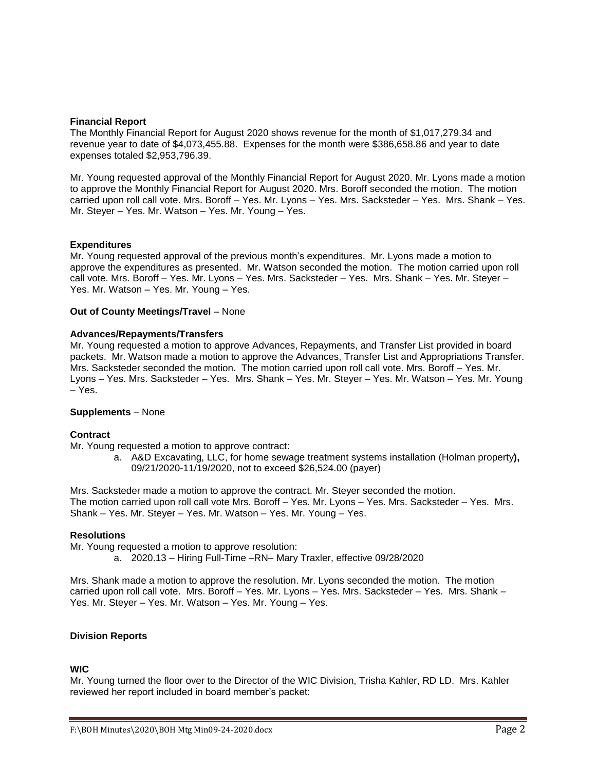### **Financial Report**

The Monthly Financial Report for August 2020 shows revenue for the month of \$1,017,279.34 and revenue year to date of \$4,073,455.88. Expenses for the month were \$386,658.86 and year to date expenses totaled \$2,953,796.39.

Mr. Young requested approval of the Monthly Financial Report for August 2020. Mr. Lyons made a motion to approve the Monthly Financial Report for August 2020. Mrs. Boroff seconded the motion. The motion carried upon roll call vote. Mrs. Boroff – Yes. Mr. Lyons – Yes. Mrs. Sacksteder – Yes. Mrs. Shank – Yes. Mr. Steyer – Yes. Mr. Watson – Yes. Mr. Young – Yes.

### **Expenditures**

Mr. Young requested approval of the previous month's expenditures. Mr. Lyons made a motion to approve the expenditures as presented. Mr. Watson seconded the motion. The motion carried upon roll call vote. Mrs. Boroff – Yes. Mr. Lyons – Yes. Mrs. Sacksteder – Yes. Mrs. Shank – Yes. Mr. Steyer – Yes. Mr. Watson – Yes. Mr. Young – Yes.

### **Out of County Meetings/Travel** – None

### **Advances/Repayments/Transfers**

Mr. Young requested a motion to approve Advances, Repayments, and Transfer List provided in board packets. Mr. Watson made a motion to approve the Advances, Transfer List and Appropriations Transfer. Mrs. Sacksteder seconded the motion. The motion carried upon roll call vote. Mrs. Boroff – Yes. Mr. Lyons – Yes. Mrs. Sacksteder – Yes. Mrs. Shank – Yes. Mr. Steyer – Yes. Mr. Watson – Yes. Mr. Young – Yes.

#### **Supplements** – None

#### **Contract**

Mr. Young requested a motion to approve contract:

a. A&D Excavating, LLC, for home sewage treatment systems installation (Holman property**),**  09/21/2020-11/19/2020, not to exceed \$26,524.00 (payer)

Mrs. Sacksteder made a motion to approve the contract. Mr. Steyer seconded the motion. The motion carried upon roll call vote Mrs. Boroff – Yes. Mr. Lyons – Yes. Mrs. Sacksteder – Yes. Mrs. Shank – Yes. Mr. Steyer – Yes. Mr. Watson – Yes. Mr. Young – Yes.

### **Resolutions**

Mr. Young requested a motion to approve resolution:

a. 2020.13 – Hiring Full-Time –RN– Mary Traxler, effective 09/28/2020

Mrs. Shank made a motion to approve the resolution. Mr. Lyons seconded the motion. The motion carried upon roll call vote. Mrs. Boroff – Yes. Mr. Lyons – Yes. Mrs. Sacksteder – Yes. Mrs. Shank – Yes. Mr. Steyer – Yes. Mr. Watson – Yes. Mr. Young – Yes.

# **Division Reports**

#### **WIC**

Mr. Young turned the floor over to the Director of the WIC Division, Trisha Kahler, RD LD. Mrs. Kahler reviewed her report included in board member's packet: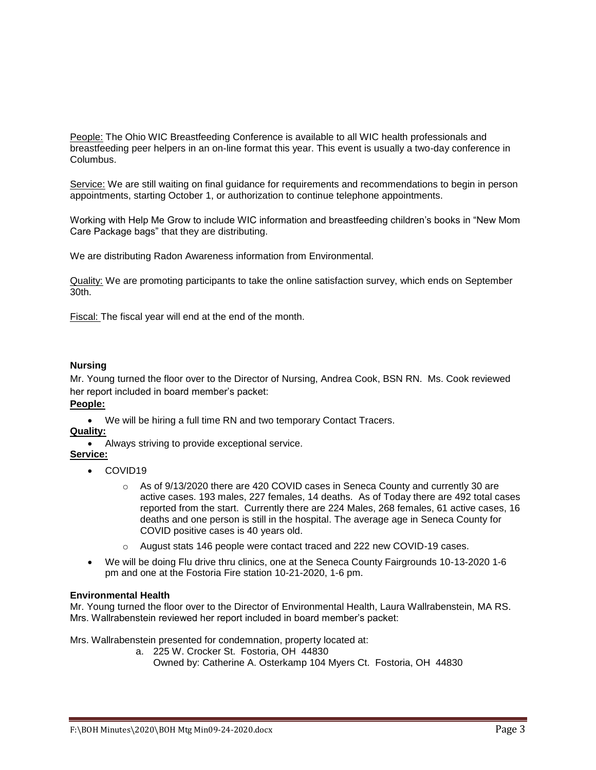People: The Ohio WIC Breastfeeding Conference is available to all WIC health professionals and breastfeeding peer helpers in an on-line format this year. This event is usually a two-day conference in Columbus.

Service: We are still waiting on final guidance for requirements and recommendations to begin in person appointments, starting October 1, or authorization to continue telephone appointments.

Working with Help Me Grow to include WIC information and breastfeeding children's books in "New Mom Care Package bags" that they are distributing.

We are distributing Radon Awareness information from Environmental.

Quality: We are promoting participants to take the online satisfaction survey, which ends on September 30th.

Fiscal: The fiscal year will end at the end of the month.

### **Nursing**

Mr. Young turned the floor over to the Director of Nursing, Andrea Cook, BSN RN. Ms. Cook reviewed her report included in board member's packet:

# **People:**

We will be hiring a full time RN and two temporary Contact Tracers.

# **Quality:**

Always striving to provide exceptional service.

# **Service:**

- COVID19
	- o As of 9/13/2020 there are 420 COVID cases in Seneca County and currently 30 are active cases. 193 males, 227 females, 14 deaths. As of Today there are 492 total cases reported from the start. Currently there are 224 Males, 268 females, 61 active cases, 16 deaths and one person is still in the hospital. The average age in Seneca County for COVID positive cases is 40 years old.
	- o August stats 146 people were contact traced and 222 new COVID-19 cases.
- We will be doing Flu drive thru clinics, one at the Seneca County Fairgrounds 10-13-2020 1-6 pm and one at the Fostoria Fire station 10-21-2020, 1-6 pm.

### **Environmental Health**

Mr. Young turned the floor over to the Director of Environmental Health, Laura Wallrabenstein, MA RS. Mrs. Wallrabenstein reviewed her report included in board member's packet:

Mrs. Wallrabenstein presented for condemnation, property located at:

- a. 225 W. Crocker St. Fostoria, OH 44830
	- Owned by: Catherine A. Osterkamp 104 Myers Ct. Fostoria, OH 44830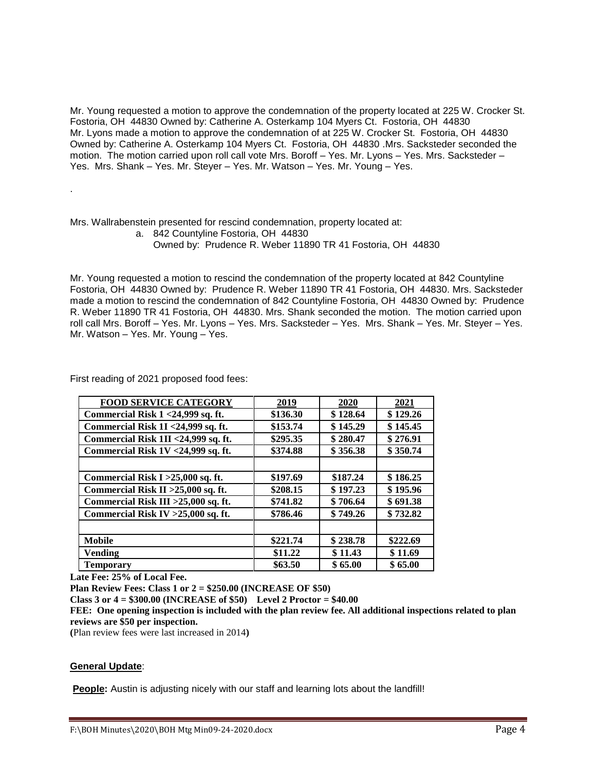Mr. Young requested a motion to approve the condemnation of the property located at 225 W. Crocker St. Fostoria, OH 44830 Owned by: Catherine A. Osterkamp 104 Myers Ct. Fostoria, OH 44830 Mr. Lyons made a motion to approve the condemnation of at 225 W. Crocker St. Fostoria, OH 44830 Owned by: Catherine A. Osterkamp 104 Myers Ct. Fostoria, OH 44830 .Mrs. Sacksteder seconded the motion. The motion carried upon roll call vote Mrs. Boroff – Yes. Mr. Lyons – Yes. Mrs. Sacksteder – Yes. Mrs. Shank – Yes. Mr. Steyer – Yes. Mr. Watson – Yes. Mr. Young – Yes.

Mrs. Wallrabenstein presented for rescind condemnation, property located at:

a. 842 Countyline Fostoria, OH 44830

Owned by: Prudence R. Weber 11890 TR 41 Fostoria, OH 44830

Mr. Young requested a motion to rescind the condemnation of the property located at 842 Countyline Fostoria, OH 44830 Owned by: Prudence R. Weber 11890 TR 41 Fostoria, OH 44830. Mrs. Sacksteder made a motion to rescind the condemnation of 842 Countyline Fostoria, OH 44830 Owned by: Prudence R. Weber 11890 TR 41 Fostoria, OH 44830. Mrs. Shank seconded the motion. The motion carried upon roll call Mrs. Boroff – Yes. Mr. Lyons – Yes. Mrs. Sacksteder – Yes. Mrs. Shank – Yes. Mr. Steyer – Yes. Mr. Watson – Yes. Mr. Young – Yes.

First reading of 2021 proposed food fees:

.

| <b>FOOD SERVICE CATEGORY</b>          | 2019     | 2020     | <b>2021</b> |
|---------------------------------------|----------|----------|-------------|
| Commercial Risk 1 < 24,999 sq. ft.    | \$136.30 | \$128.64 | \$129.26    |
| Commercial Risk 1I <24,999 sq. ft.    | \$153.74 | \$145.29 | \$145.45    |
| Commercial Risk 1II <24,999 sq. ft.   | \$295.35 | \$280.47 | \$276.91    |
| Commercial Risk 1V <24,999 sq. ft.    | \$374.88 | \$356.38 | \$350.74    |
|                                       |          |          |             |
| Commercial Risk I > 25,000 sq. ft.    | \$197.69 | \$187.24 | \$186.25    |
| Commercial Risk II > $25,000$ sq. ft. | \$208.15 | \$197.23 | \$195.96    |
| Commercial Risk III > 25,000 sq. ft.  | \$741.82 | \$706.64 | \$691.38    |
| Commercial Risk IV > 25,000 sq. ft.   | \$786.46 | \$749.26 | \$732.82    |
|                                       |          |          |             |
| <b>Mobile</b>                         | \$221.74 | \$238.78 | \$222.69    |
| <b>Vending</b>                        | \$11.22  | \$11.43  | \$11.69     |
| Temporary                             | \$63.50  | \$65.00  | \$65.00     |

**Late Fee: 25% of Local Fee.**

**Plan Review Fees: Class 1 or 2 = \$250.00 (INCREASE OF \$50)**

**Class 3 or 4 = \$300.00 (INCREASE of \$50) Level 2 Proctor = \$40.00**

**FEE: One opening inspection is included with the plan review fee. All additional inspections related to plan reviews are \$50 per inspection.**

**(**Plan review fees were last increased in 2014**)**

### **General Update**:

**People:** Austin is adjusting nicely with our staff and learning lots about the landfill!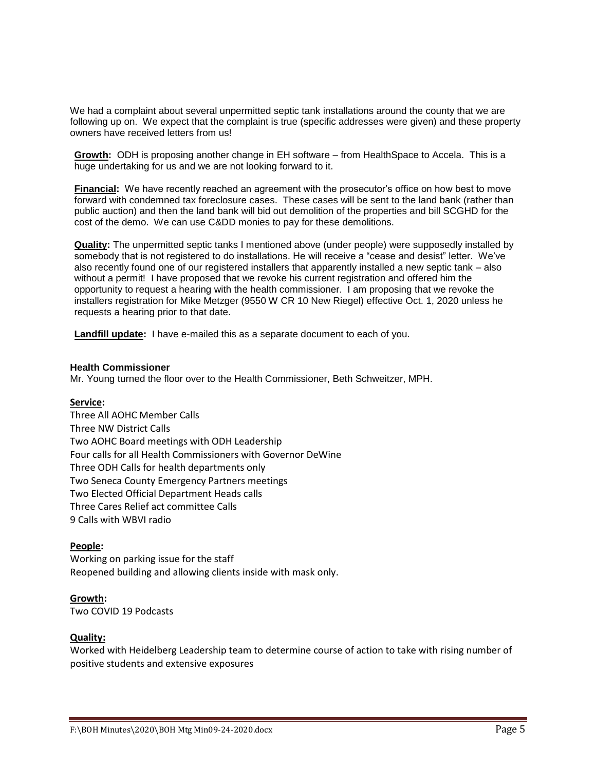We had a complaint about several unpermitted septic tank installations around the county that we are following up on. We expect that the complaint is true (specific addresses were given) and these property owners have received letters from us!

**Growth:** ODH is proposing another change in EH software – from HealthSpace to Accela. This is a huge undertaking for us and we are not looking forward to it.

**Financial:** We have recently reached an agreement with the prosecutor's office on how best to move forward with condemned tax foreclosure cases. These cases will be sent to the land bank (rather than public auction) and then the land bank will bid out demolition of the properties and bill SCGHD for the cost of the demo. We can use C&DD monies to pay for these demolitions.

**Quality:** The unpermitted septic tanks I mentioned above (under people) were supposedly installed by somebody that is not registered to do installations. He will receive a "cease and desist" letter. We've also recently found one of our registered installers that apparently installed a new septic tank – also without a permit! I have proposed that we revoke his current registration and offered him the opportunity to request a hearing with the health commissioner. I am proposing that we revoke the installers registration for Mike Metzger (9550 W CR 10 New Riegel) effective Oct. 1, 2020 unless he requests a hearing prior to that date.

**Landfill update:** I have e-mailed this as a separate document to each of you.

### **Health Commissioner**

Mr. Young turned the floor over to the Health Commissioner, Beth Schweitzer, MPH.

#### **Service:**

Three All AOHC Member Calls Three NW District Calls Two AOHC Board meetings with ODH Leadership Four calls for all Health Commissioners with Governor DeWine Three ODH Calls for health departments only Two Seneca County Emergency Partners meetings Two Elected Official Department Heads calls Three Cares Relief act committee Calls 9 Calls with WBVI radio

### **People:**

Working on parking issue for the staff Reopened building and allowing clients inside with mask only.

# **Growth:**

Two COVID 19 Podcasts

# **Quality:**

Worked with Heidelberg Leadership team to determine course of action to take with rising number of positive students and extensive exposures